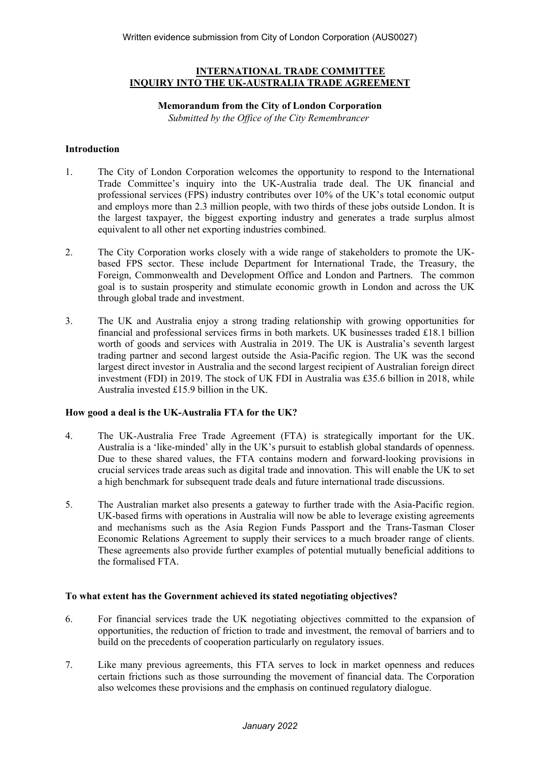### **INTERNATIONAL TRADE COMMITTEE INQUIRY INTO THE UK-AUSTRALIA TRADE AGREEMENT**

### **Memorandum from the City of London Corporation**

*Submitted by the Office of the City Remembrancer*

### **Introduction**

- 1. The City of London Corporation welcomes the opportunity to respond to the International Trade Committee's inquiry into the UK-Australia trade deal. The UK financial and professional services (FPS) industry contributes over 10% of the UK's total economic output and employs more than 2.3 million people, with two thirds of these jobs outside London. It is the largest taxpayer, the biggest exporting industry and generates a trade surplus almost equivalent to all other net exporting industries combined.
- 2. The City Corporation works closely with a wide range of stakeholders to promote the UKbased FPS sector. These include Department for International Trade, the Treasury, the Foreign, Commonwealth and Development Office and London and Partners. The common goal is to sustain prosperity and stimulate economic growth in London and across the UK through global trade and investment.
- 3. The UK and Australia enjoy a strong trading relationship with growing opportunities for financial and professional services firms in both markets. UK businesses traded £18.1 billion worth of goods and services with Australia in 2019. The UK is Australia's seventh largest trading partner and second largest outside the Asia-Pacific region. The UK was the second largest direct investor in Australia and the second largest recipient of Australian foreign direct investment (FDI) in 2019. The stock of UK FDI in Australia was £35.6 billion in 2018, while Australia invested £15.9 billion in the UK.

# **How good a deal is the UK-Australia FTA for the UK?**

- 4. The UK-Australia Free Trade Agreement (FTA) is strategically important for the UK. Australia is a 'like-minded' ally in the UK's pursuit to establish global standards of openness. Due to these shared values, the FTA contains modern and forward-looking provisions in crucial services trade areas such as digital trade and innovation. This will enable the UK to set a high benchmark for subsequent trade deals and future international trade discussions.
- 5. The Australian market also presents a gateway to further trade with the Asia-Pacific region. UK-based firms with operations in Australia will now be able to leverage existing agreements and mechanisms such as the Asia Region Funds Passport and the Trans-Tasman Closer Economic Relations Agreement to supply their services to a much broader range of clients. These agreements also provide further examples of potential mutually beneficial additions to the formalised FTA.

# **To what extent has the Government achieved its stated negotiating objectives?**

- 6. For financial services trade the UK negotiating objectives committed to the expansion of opportunities, the reduction of friction to trade and investment, the removal of barriers and to build on the precedents of cooperation particularly on regulatory issues.
- 7. Like many previous agreements, this FTA serves to lock in market openness and reduces certain frictions such as those surrounding the movement of financial data. The Corporation also welcomes these provisions and the emphasis on continued regulatory dialogue.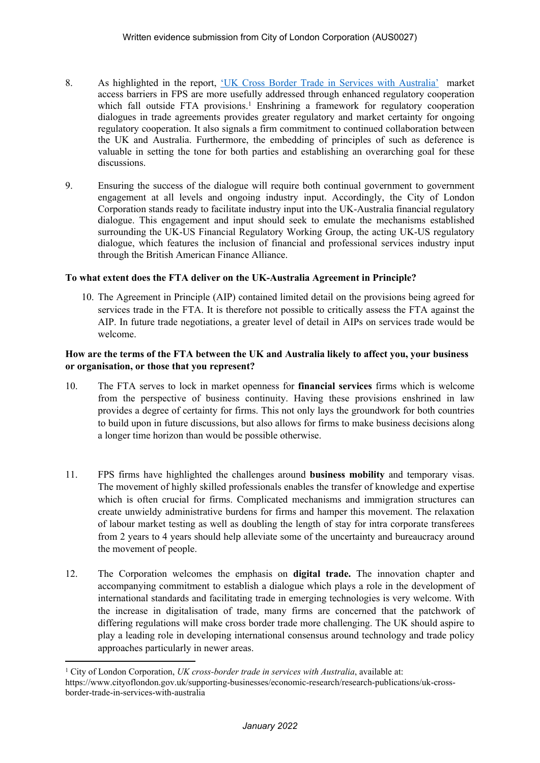- 8. As highlighted in the report, ['UK](https://www.cityoflondon.gov.uk/supporting-businesses/economic-research/research-publications/uk-cross-border-trade-in-services-with-australia) [Cross](https://www.cityoflondon.gov.uk/supporting-businesses/economic-research/research-publications/uk-cross-border-trade-in-services-with-australia) [Border](https://www.cityoflondon.gov.uk/supporting-businesses/economic-research/research-publications/uk-cross-border-trade-in-services-with-australia) [Trade](https://www.cityoflondon.gov.uk/supporting-businesses/economic-research/research-publications/uk-cross-border-trade-in-services-with-australia) [in](https://www.cityoflondon.gov.uk/supporting-businesses/economic-research/research-publications/uk-cross-border-trade-in-services-with-australia) [Services](https://www.cityoflondon.gov.uk/supporting-businesses/economic-research/research-publications/uk-cross-border-trade-in-services-with-australia) [with](https://www.cityoflondon.gov.uk/supporting-businesses/economic-research/research-publications/uk-cross-border-trade-in-services-with-australia) [Australia'](https://www.cityoflondon.gov.uk/supporting-businesses/economic-research/research-publications/uk-cross-border-trade-in-services-with-australia) market access barriers in FPS are more usefully addressed through enhanced regulatory cooperation which fall outside  $FTA$  provisions.<sup>1</sup> Enshrining a framework for regulatory cooperation dialogues in trade agreements provides greater regulatory and market certainty for ongoing regulatory cooperation. It also signals a firm commitment to continued collaboration between the UK and Australia. Furthermore, the embedding of principles of such as deference is valuable in setting the tone for both parties and establishing an overarching goal for these discussions.
- 9. Ensuring the success of the dialogue will require both continual government to government engagement at all levels and ongoing industry input. Accordingly, the City of London Corporation stands ready to facilitate industry input into the UK-Australia financial regulatory dialogue. This engagement and input should seek to emulate the mechanisms established surrounding the UK-US Financial Regulatory Working Group, the acting UK-US regulatory dialogue, which features the inclusion of financial and professional services industry input through the British American Finance Alliance.

### **To what extent does the FTA deliver on the UK-Australia Agreement in Principle?**

10. The Agreement in Principle (AIP) contained limited detail on the provisions being agreed for services trade in the FTA. It is therefore not possible to critically assess the FTA against the AIP. In future trade negotiations, a greater level of detail in AIPs on services trade would be welcome.

### **How are the terms of the FTA between the UK and Australia likely to affect you, your business or organisation, or those that you represent?**

- 10. The FTA serves to lock in market openness for **financial services** firms which is welcome from the perspective of business continuity. Having these provisions enshrined in law provides a degree of certainty for firms. This not only lays the groundwork for both countries to build upon in future discussions, but also allows for firms to make business decisions along a longer time horizon than would be possible otherwise.
- 11. FPS firms have highlighted the challenges around **business mobility** and temporary visas. The movement of highly skilled professionals enables the transfer of knowledge and expertise which is often crucial for firms. Complicated mechanisms and immigration structures can create unwieldy administrative burdens for firms and hamper this movement. The relaxation of labour market testing as well as doubling the length of stay for intra corporate transferees from 2 years to 4 years should help alleviate some of the uncertainty and bureaucracy around the movement of people.
- 12. The Corporation welcomes the emphasis on **digital trade.** The innovation chapter and accompanying commitment to establish a dialogue which plays a role in the development of international standards and facilitating trade in emerging technologies is very welcome. With the increase in digitalisation of trade, many firms are concerned that the patchwork of differing regulations will make cross border trade more challenging. The UK should aspire to play a leading role in developing international consensus around technology and trade policy approaches particularly in newer areas.

<sup>1</sup> City of London Corporation, *UK cross-border trade in services with Australia*, available at:

https://www.cityoflondon.gov.uk/supporting-businesses/economic-research/research-publications/uk-crossborder-trade-in-services-with-australia